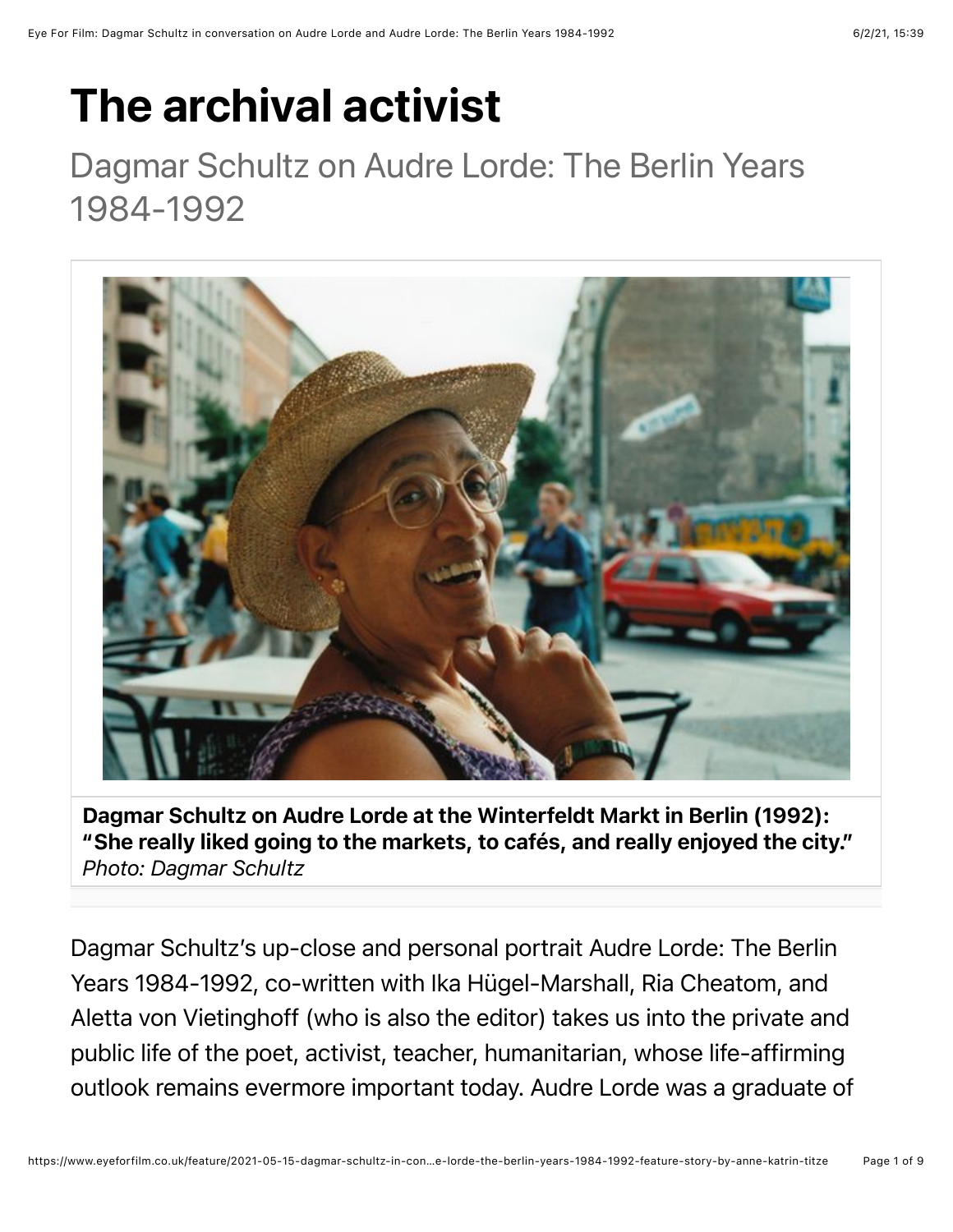## The archival activist

## Dagmar Schultz on Audre Lorde: The Berlin Years 1984-1992



Dagmar Schultz on Audre Lorde at the Winterfeldt Markt in Berlin (1992): "She really liked going to the markets, to cafés, and really enjoyed the city." *Photo: Dagmar Schultz*

Dagmar Schultz's up-close and personal portrait Audre Lorde: The Berlin Years 1984-1992, co-written with Ika Hügel-Marshall, Ria Cheatom, and Aletta von Vietinghoff (who is also the editor) takes us into the private and public life of the poet, activist, teacher, humanitarian, whose life-affirming outlook remains evermore important today. Audre Lorde was a graduate of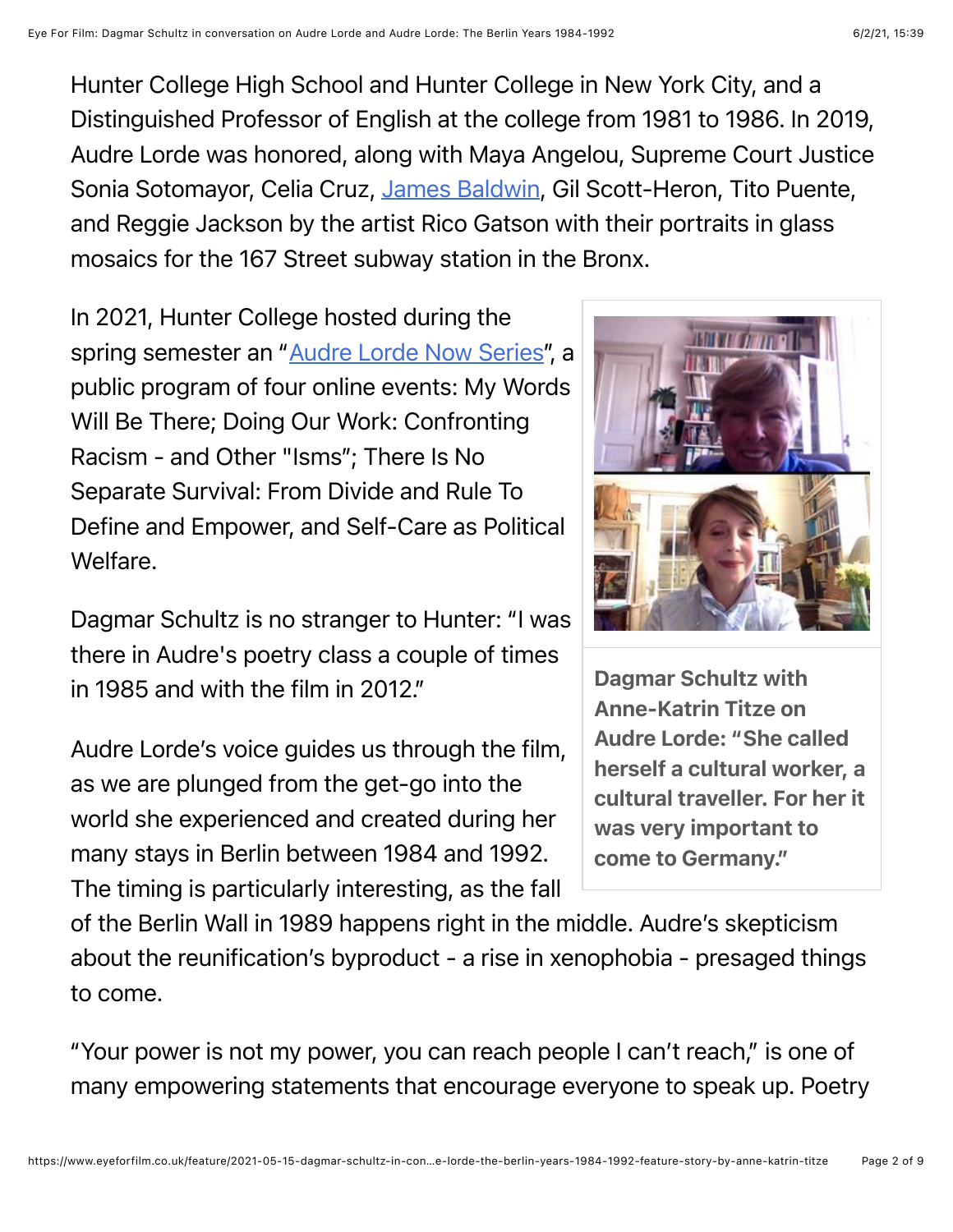Hunter College High School and Hunter College in New York City, and a Distinguished Professor of English at the college from 1981 to 1986. In 2019, Audre Lorde was honored, along with Maya Angelou, Supreme Court Justice Sonia Sotomayor, Celia Cruz, [James Baldwin,](https://www.eyeforfilm.co.uk/feature/2017-02-22-interview-with-gay-talese-about-james-baldwin-and-i-am-not-your-negro-feature-story-by-anne-katrin-titze) Gil Scott-Heron, Tito Puente, and Reggie Jackson by the artist Rico Gatson with their portraits in glass mosaics for the 167 Street subway station in the Bronx.

In 2021, Hunter College hosted during the spring semester an "[Audre Lorde Now Series"](https://hunter.cuny.edu/hunter-on-demand/audre-lorde-now-series-archive/), a public program of four online events: My Words Will Be There; Doing Our Work: Confronting Racism - and Other "Isms"; There Is No Separate Survival: From Divide and Rule To Define and Empower, and Self-Care as Political **Welfare** 

Dagmar Schultz is no stranger to Hunter: "I was there in Audre's poetry class a couple of times in 1985 and with the film in 2012."

Audre Lorde's voice guides us through the film, as we are plunged from the get-go into the world she experienced and created during her many stays in Berlin between 1984 and 1992. The timing is particularly interesting, as the fall

Dagmar Schultz with Anne-Katrin Titze on Audre Lorde: "She called herself a cultural worker, a cultural traveller. For her it was very important to come to Germany."

of the Berlin Wall in 1989 happens right in the middle. Audre's skepticism about the reunification's byproduct - a rise in xenophobia - presaged things to come.

"Your power is not my power, you can reach people I can't reach," is one of many empowering statements that encourage everyone to speak up. Poetry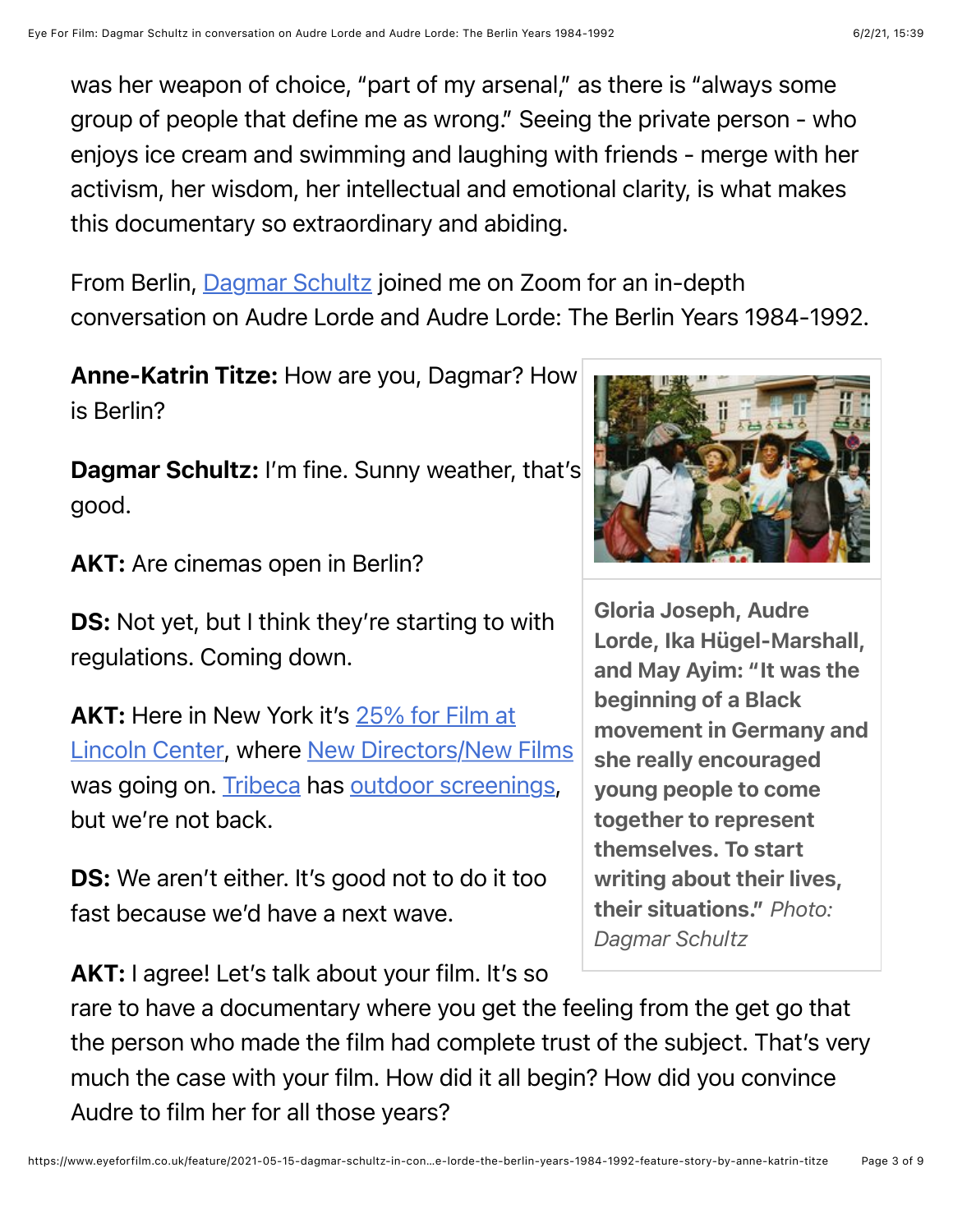was her weapon of choice, "part of my arsenal," as there is "always some group of people that define me as wrong." Seeing the private person - who enjoys ice cream and swimming and laughing with friends - merge with her activism, her wisdom, her intellectual and emotional clarity, is what makes this documentary so extraordinary and abiding.

From Berlin, [Dagmar Schultz](http://www.dagmarschultz.com/) joined me on Zoom for an in-depth conversation on Audre Lorde and Audre Lorde: The Berlin Years 1984-1992.

Anne-Katrin Titze: How are you, Dagmar? How is Berlin?

Dagmar Schultz: I'm fine. Sunny weather, that's good.

AKT: Are cinemas open in Berlin?

**DS:** Not yet, but I think they're starting to with regulations. Coming down.

AKT: Here in New York it's 25% for Film at [Lincoln Center, where New Directors/New](https://www.eyeforfilm.co.uk/news/2021-04-01-film-at-lincoln-center-to-reopen-news-story-by-anne-katrin-titze) [Films](https://www.eyeforfilm.co.uk/festivals/ndnf/2021/) was going on. [Tribeca](https://www.eyeforfilm.co.uk/festivals/tribeca/2021/) has [outdoor screenings,](https://www.eyeforfilm.co.uk/news/2021-05-11-tribeca-announces-retrospectives-news-story-by-anne-katrin-titze) but we're not back.

DS: We aren't either. It's good not to do it too fast because we'd have a next wave.

AKT: I agree! Let's talk about your film. It's so



Gloria Joseph, Audre Lorde, Ika Hügel-Marshall, and May Ayim: "It was the beginning of a Black movement in Germany and she really encouraged young people to come together to represent themselves. To start writing about their lives, their situations." *Photo: Dagmar Schultz*

rare to have a documentary where you get the feeling from the get go that the person who made the film had complete trust of the subject. That's very much the case with your film. How did it all begin? How did you convince Audre to film her for all those years?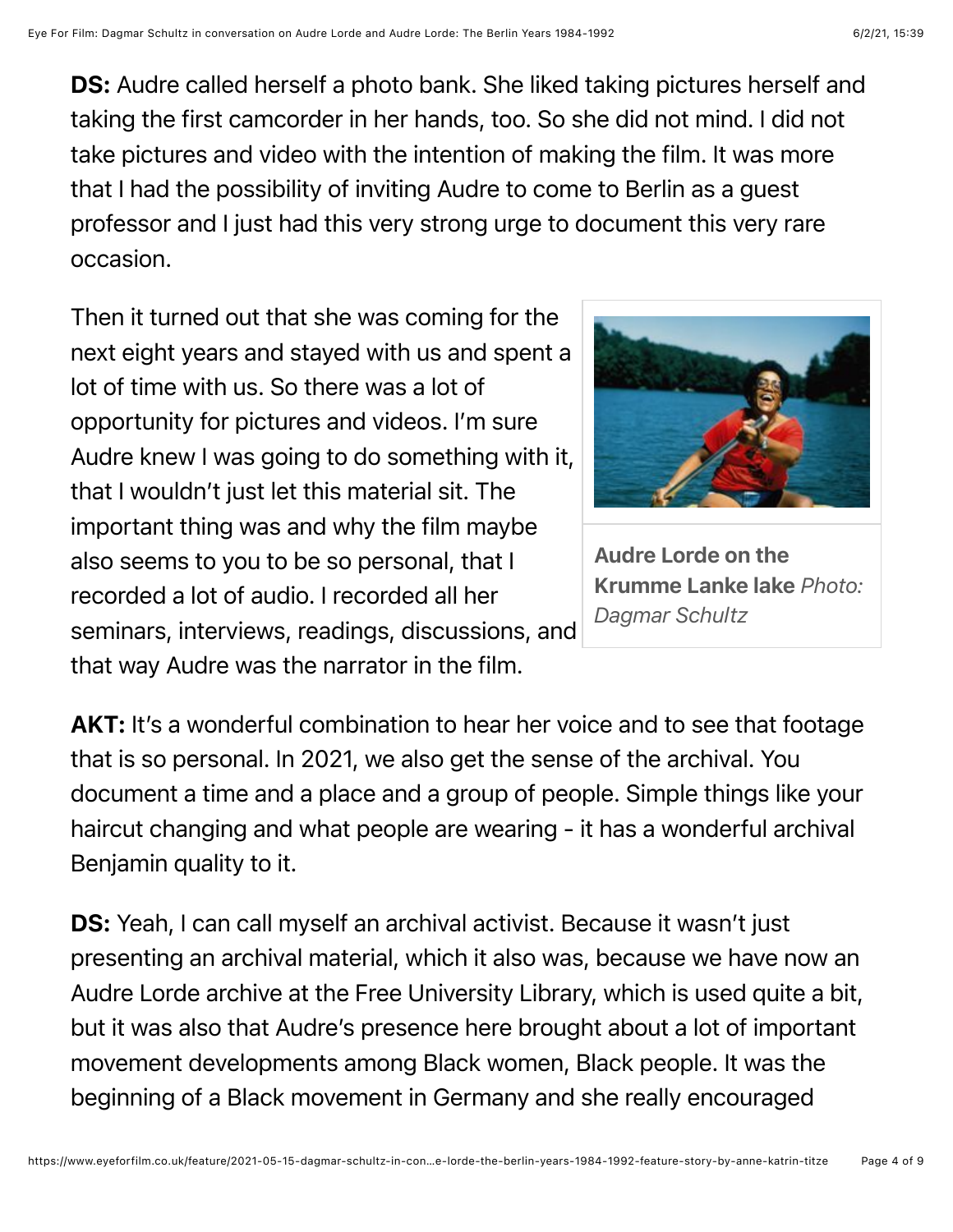DS: Audre called herself a photo bank. She liked taking pictures herself and taking the first camcorder in her hands, too. So she did not mind. I did not take pictures and video with the intention of making the film. It was more that I had the possibility of inviting Audre to come to Berlin as a guest professor and I just had this very strong urge to document this very rare occasion.

Then it turned out that she was coming for the next eight years and stayed with us and spent a lot of time with us. So there was a lot of opportunity for pictures and videos. I'm sure Audre knew I was going to do something with it, that I wouldn't just let this material sit. The important thing was and why the film maybe also seems to you to be so personal, that I recorded a lot of audio. I recorded all her seminars, interviews, readings, discussions, and that way Audre was the narrator in the film.



Audre Lorde on the Krumme Lanke lake *Photo: Dagmar Schultz*

AKT: It's a wonderful combination to hear her voice and to see that footage that is so personal. In 2021, we also get the sense of the archival. You document a time and a place and a group of people. Simple things like your haircut changing and what people are wearing - it has a wonderful archival Benjamin quality to it.

DS: Yeah, I can call myself an archival activist. Because it wasn't just presenting an archival material, which it also was, because we have now an Audre Lorde archive at the Free University Library, which is used quite a bit, but it was also that Audre's presence here brought about a lot of important movement developments among Black women, Black people. It was the beginning of a Black movement in Germany and she really encouraged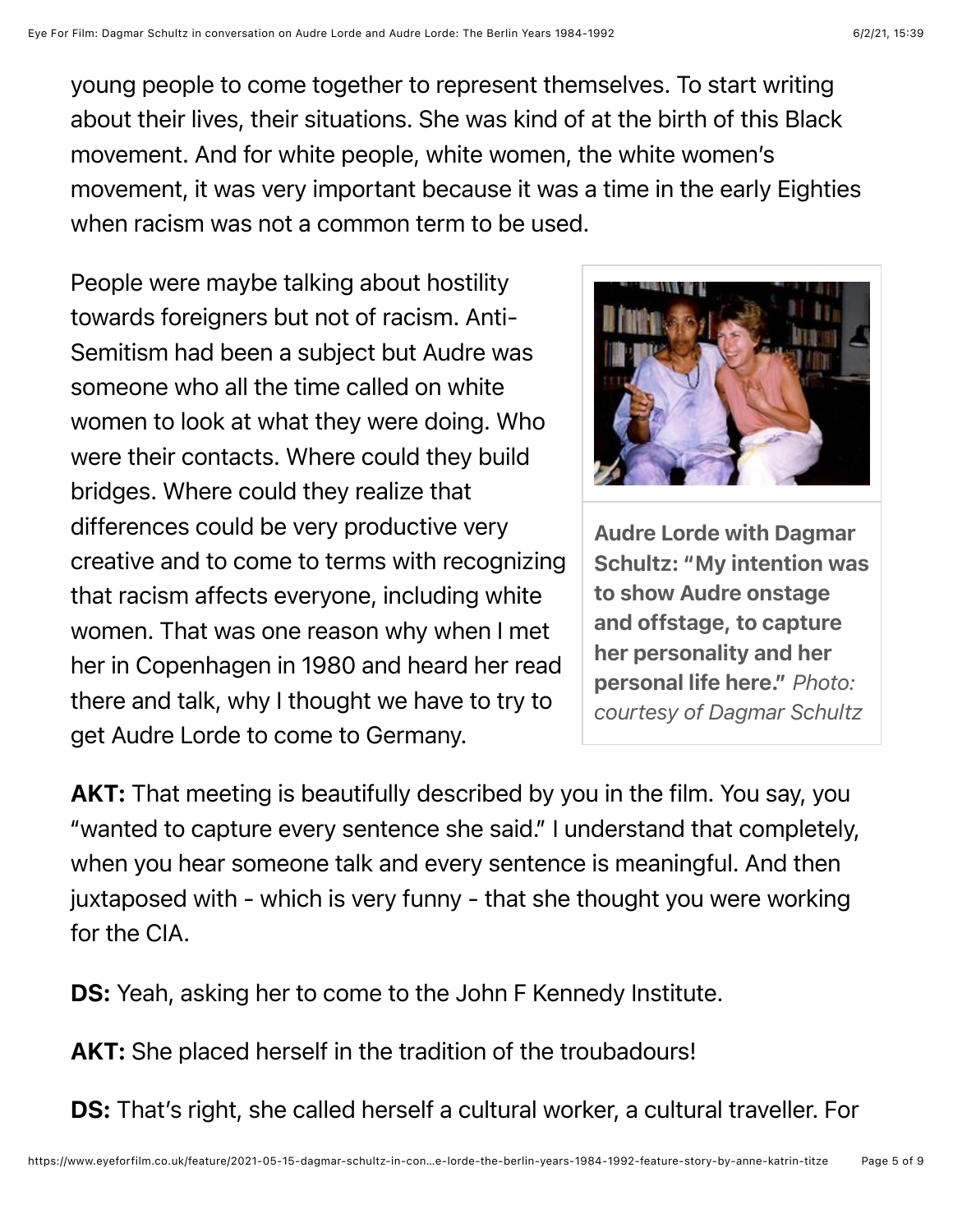young people to come together to represent themselves. To start writing about their lives, their situations. She was kind of at the birth of this Black movement. And for white people, white women, the white women's movement, it was very important because it was a time in the early Eighties when racism was not a common term to be used.

People were maybe talking about hostility towards foreigners but not of racism. Anti-Semitism had been a subject but Audre was someone who all the time called on white women to look at what they were doing. Who were their contacts. Where could they build bridges. Where could they realize that differences could be very productive very creative and to come to terms with recognizing that racism affects everyone, including white women. That was one reason why when I met her in Copenhagen in 1980 and heard her read there and talk, why I thought we have to try to get Audre Lorde to come to Germany.



Audre Lorde with Dagmar Schultz: "My intention was to show Audre onstage and offstage, to capture her personality and her personal life here." *Photo: courtesy of Dagmar Schultz*

AKT: That meeting is beautifully described by you in the film. You say, you "wanted to capture every sentence she said." I understand that completely, when you hear someone talk and every sentence is meaningful. And then juxtaposed with - which is very funny - that she thought you were working for the CIA.

DS: Yeah, asking her to come to the John F Kennedy Institute.

AKT: She placed herself in the tradition of the troubadours!

DS: That's right, she called herself a cultural worker, a cultural traveller. For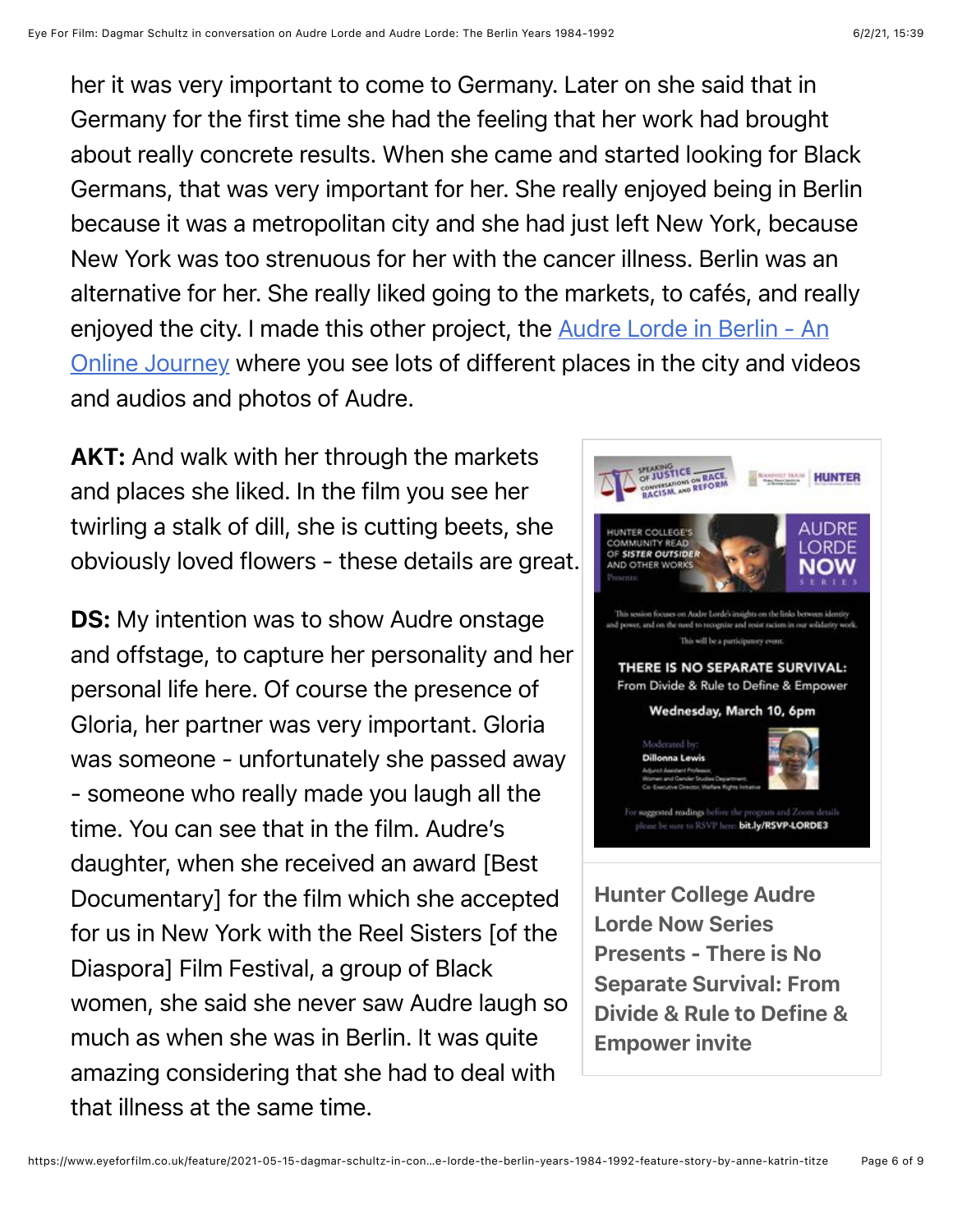her it was very important to come to Germany. Later on she said that in Germany for the first time she had the feeling that her work had brought about really concrete results. When she came and started looking for Black Germans, that was very important for her. She really enjoyed being in Berlin because it was a metropolitan city and she had just left New York, because New York was too strenuous for her with the cancer illness. Berlin was an alternative for her. She really liked going to the markets, to cafés, and really [enjoyed the city. I made this other project, the Audre Lorde in Berlin - An](http://audrelordeberlin.com/) Online Journey where you see lots of different places in the city and videos and audios and photos of Audre.

**AKT:** And walk with her through the markets and places she liked. In the film you see her twirling a stalk of dill, she is cutting beets, she obviously loved flowers - these details are great.

**DS:** My intention was to show Audre onstage and offstage, to capture her personality and her personal life here. Of course the presence of Gloria, her partner was very important. Gloria was someone - unfortunately she passed away - someone who really made you laugh all the time. You can see that in the film. Audre's daughter, when she received an award [Best Documentary] for the film which she accepted for us in New York with the Reel Sisters [of the Diaspora] Film Festival, a group of Black women, she said she never saw Audre laugh so much as when she was in Berlin. It was quite amazing considering that she had to deal with that illness at the same time.



Presents - There is No Separate Survival: From Divide & Rule to Define & Empower invite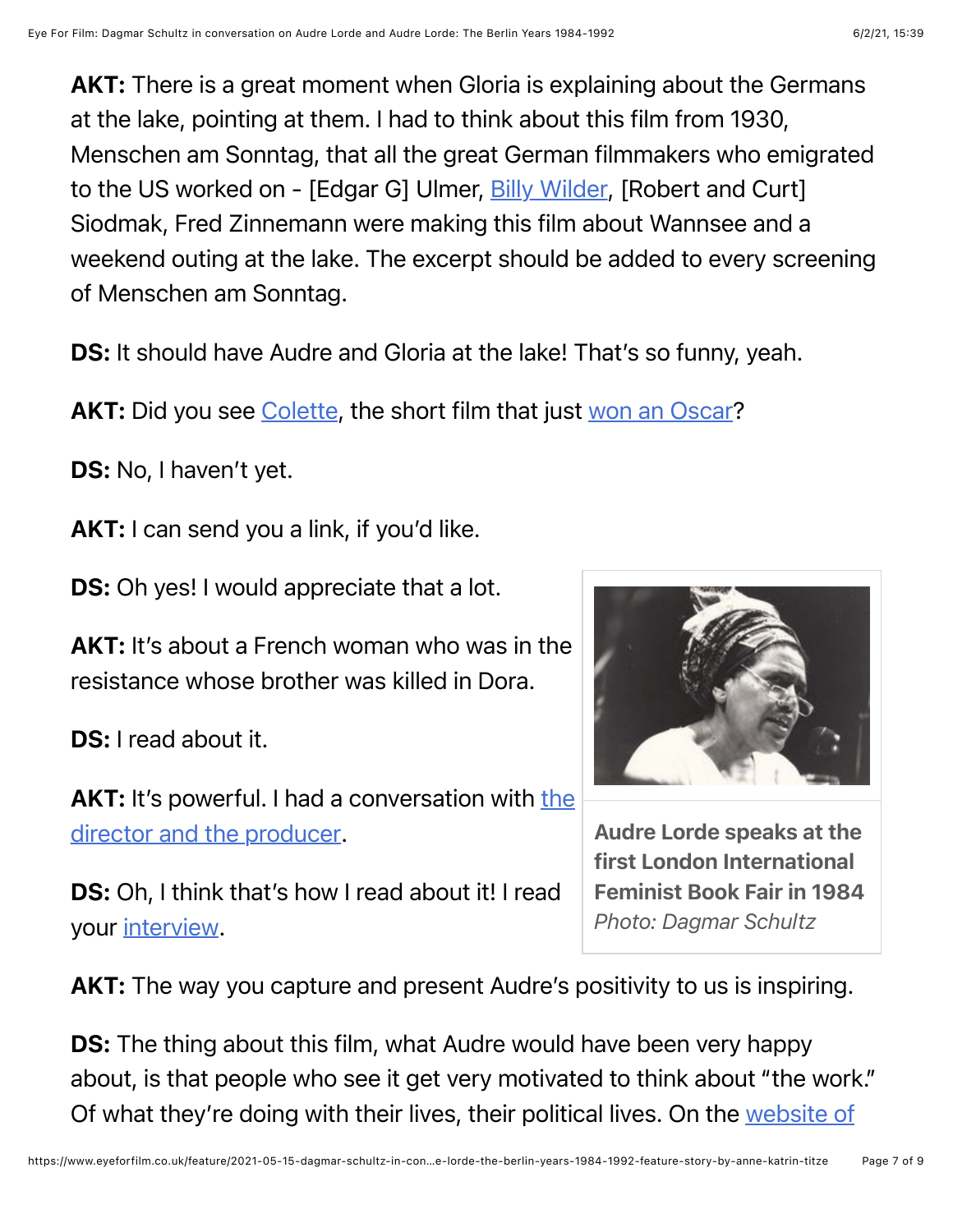AKT: There is a great moment when Gloria is explaining about the Germans at the lake, pointing at them. I had to think about this film from 1930, Menschen am Sonntag, that all the great German filmmakers who emigrated to the US worked on - [Edgar G] Ulmer, [Billy Wilder,](https://www.eyeforfilm.co.uk/feature/2014-09-14-interview-with-volker-schlondorff-feature-story-by-anne-katrin-titze) [Robert and Curt] Siodmak, Fred Zinnemann were making this film about Wannsee and a weekend outing at the lake. The excerpt should be added to every screening of Menschen am Sonntag.

DS: It should have Audre and Gloria at the lake! That's so funny, yeah.

AKT: Did you see [Colette](https://www.eyeforfilm.co.uk/reviews.php?film_id=38694), the short film that just [won an Oscar](https://www.eyeforfilm.co.uk/news/2021-04-25-oscars-liveblog-news-story-by-jennie-kermode)?

DS: No, I haven't yet.

AKT: I can send you a link, if you'd like.

**DS:** Oh yes! I would appreciate that a lot.

AKT: It's about a French woman who was in the resistance whose brother was killed in Dora.

DS: I read about it.

AKT: [It's powerful. I had a conversation with the](https://www.eyeforfilm.co.uk/feature/2021-03-29-director-anthony-giacchino-and-producer-alice-doyard-on-the-oscar-nominated-best-documentary-short-colette-feature-story-by-anne-katrin-titze) director and the producer.

DS: Oh, I think that's how I read about it! I read your [interview.](https://www.eyeforfilm.co.uk/feature/2021-04-27-director-anthony-giacchino-and-producer-alice-doyard-on-oscar-winner-colette-feature-story-by-anne-katrin-titze)



Audre Lorde speaks at the first London International Feminist Book Fair in 1984 *Photo: Dagmar Schultz*

AKT: The way you capture and present Audre's positivity to us is inspiring.

**DS:** The thing about this film, what Audre would have been very happy about, is that people who see it get very motivated to think about "the work." [Of what they're doing with their lives, their political lives. On the website of](http://www.audrelorde-theberlinyears.com/news.html#.YJ6ZzC-ZPFQ)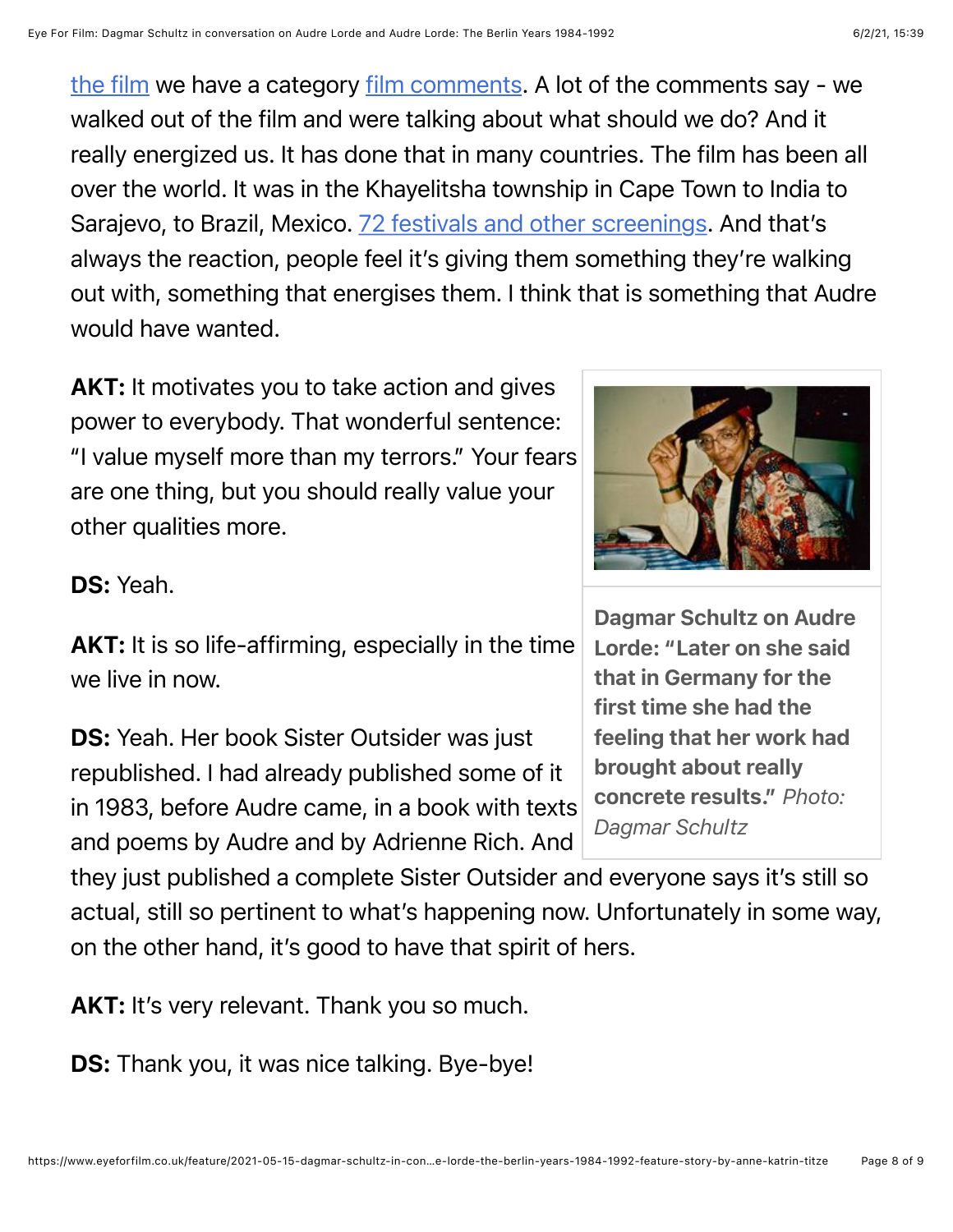[the film we have a category film comments. A lot of the comments say - we](http://www.audrelorde-theberlinyears.com/news.html#.YJ6ZzC-ZPFQ) walked out of the film and were talking about what should we do? And it really energized us. It has done that in many countries. The film has been all over the world. It was in the Khayelitsha township in Cape Town to India to Sarajevo, to Brazil, Mexico. [72 festivals and other screenings](http://www.audrelorde-theberlinyears.com/festivals.html#.YJ6Zry-ZPFQ). And that's always the reaction, people feel it's giving them something they're walking out with, something that energises them. I think that is something that Audre would have wanted.

AKT: It motivates you to take action and gives power to everybody. That wonderful sentence: "I value myself more than my terrors." Your fears are one thing, but you should really value your other qualities more.

## DS: Yeah.

AKT: It is so life-affirming, especially in the time we live in now.

DS: Yeah. Her book Sister Outsider was just republished. I had already published some of it in 1983, before Audre came, in a book with texts and poems by Audre and by Adrienne Rich. And

they just published a complete Sister Outsider and everyone says it's still so actual, still so pertinent to what's happening now. Unfortunately in some way, on the other hand, it's good to have that spirit of hers.

AKT: It's very relevant. Thank you so much.

**DS:** Thank you, it was nice talking. Bye-bye!



Dagmar Schultz on Audre Lorde: "Later on she said that in Germany for the first time she had the feeling that her work had brought about really concrete results." *Photo: Dagmar Schultz*